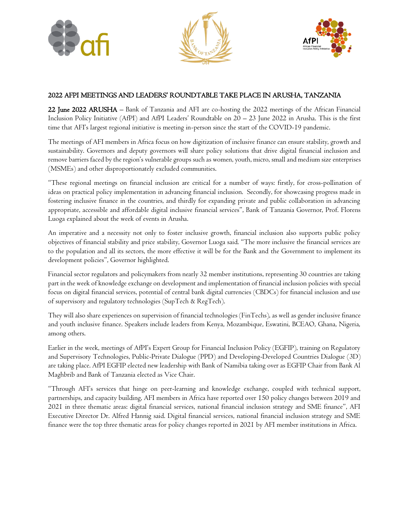





# 2022 AFPI MEETINGS AND LEADERS' ROUNDTABLE TAKE PLACE IN ARUSHA, TANZANIA

22 June 2022 ARUSHA – Bank of Tanzania and AFI are co-hosting the 2022 meetings of the African Financial Inclusion Policy Initiative (AfPI) and AfPI Leaders' Roundtable on 20 – 23 June 2022 in Arusha. This is the first time that AFI's largest regional initiative is meeting in-person since the start of the COVID-19 pandemic.

The meetings of AFI members in Africa focus on how digitization of inclusive finance can ensure stability, growth and sustainability. Governors and deputy governors will share policy solutions that drive digital financial inclusion and remove barriers faced by the region's vulnerable groups such as women, youth, micro, small and medium size enterprises (MSMEs) and other disproportionately excluded communities.

"These regional meetings on financial inclusion are critical for a number of ways: firstly, for cross-pollination of ideas on practical policy implementation in advancing financial inclusion. Secondly, for showcasing progress made in fostering inclusive finance in the countries, and thirdly for expanding private and public collaboration in advancing appropriate, accessible and affordable digital inclusive financial services", Bank of Tanzania Governor, Prof. Florens Luoga explained about the week of events in Arusha.

An imperative and a necessity not only to foster inclusive growth, financial inclusion also supports public policy objectives of financial stability and price stability, Governor Luoga said. "The more inclusive the financial services are to the population and all its sectors, the more effective it will be for the Bank and the Government to implement its development policies", Governor highlighted.

Financial sector regulators and policymakers from nearly 32 member institutions, representing 30 countries are taking part in the week of knowledge exchange on development and implementation of financial inclusion policies with special focus on digital financial services, potential of central bank digital currencies (CBDCs) for financial inclusion and use of supervisory and regulatory technologies (SupTech & RegTech).

They will also share experiences on supervision of financial technologies (FinTechs), as well as gender inclusive finance and youth inclusive finance. Speakers include leaders from Kenya, Mozambique, Eswatini, BCEAO, Ghana, Nigeria, among others.

Earlier in the week, meetings of AfPI's Expert Group for Financial Inclusion Policy (EGFIP), training on Regulatory and Supervisory Technologies, Public-Private Dialogue (PPD) and Developing-Developed Countries Dialogue (3D) are taking place. AfPI EGFIP elected new leadership with Bank of Namibia taking over as EGFIP Chair from Bank Al Maghbrib and Bank of Tanzania elected as Vice Chair.

"Through AFI's services that hinge on peer-learning and knowledge exchange, coupled with technical support, partnerships, and capacity building, AFI members in Africa have reported over 150 policy changes between 2019 and 2021 in three thematic areas: digital financial services, national financial inclusion strategy and SME finance", AFI Executive Director Dr. Alfred Hannig said. Digital financial services, national financial inclusion strategy and SME finance were the top three thematic areas for policy changes reported in 2021 by AFI member institutions in Africa.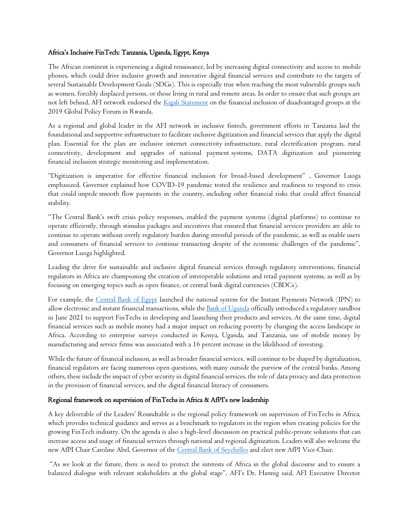### Africa's Inclusive FinTech: Tanzania, Uganda, Egypt, Kenya

The African continent is experiencing a digital renaissance, led by increasing digital connectivity and access to mobile phones, which could drive inclusive growth and innovative digital financial services and contribute to the targets of several Sustainable Development Goals (SDGs). This is especially true when reaching the most vulnerable groups such as women, forcibly displaced persons, or those living in rural and remote areas. In order to ensure that such groups are not left behind, AFI network endorsed the *Kigali Statement* on the financial inclusion of disadvantaged groups at the 2019 Global Policy Forum in Rwanda.

As a regional and global leader in the AFI network in inclusive fintech, government efforts in Tanzania laid the foundational and supportive infrastructure to facilitate inclusive digitization and financial services that apply the digital plan. Essential for the plan are inclusive internet connectivity infrastructure, rural electrification program, rural connectivity, development and upgrades of national payment systems, DATA digitization and pioneering financial inclusion strategic monitoring and implementation.

"Digitization is imperative for effective financial inclusion for broad-based development" , Governor Luoga emphasized. Governor explained how COVID-19 pandemic tested the resilience and readiness to respond to crisis that could impede smooth flow payments in the country, including other financial risks that could affect financial stability.

"The Central Bank's swift crisis policy responses, enabled the payment systems (digital platforms) to continue to operate efficiently, through stimulus packages and incentives that ensured that financial services providers are able to continue to operate without overly regulatory burden during stressful periods of the pandemic, as well as enable users and consumers of financial services to continue transacting despite of the economic challenges of the pandemic", Governor Luoga highlighted.

Leading the drive for sustainable and inclusive digital financial services through regulatory interventions, financial regulators in Africa are championing the creation of interoperable solutions and retail payment systems, as well as by focusing on emerging topics such as open finance, or central bank digital currencies (CBDCs).

For example, the [Central Bank of Egypt](https://www.cbe.org.eg/en/Pages/default.aspx) launched the national system for the Instant Payments Network (IPN) to allow electronic and instant financial transactions, while th[e Bank of Uganda](https://www.bou.or.ug/bou/bouwebsite/BOU-HOME) officially introduced a regulatory sandbox in June 2021 to support FinTechs in developing and launching their products and services. At the same time, digital financial services such as mobile money had a major impact on reducing poverty by changing the access landscape in Africa. According to enterprise surveys conducted in Kenya, Uganda, and Tanzania, use of mobile money by manufacturing and service firms was associated with a 16 percent increase in the likelihood of investing.

While the future of financial inclusion, as well as broader financial services, will continue to be shaped by digitalization, financial regulators are facing numerous open questions, with many outside the purview of the central banks. Among others, these include the impact of cyber security in digital financial services, the role of data privacy and data protection in the provision of financial services, and the digital financial literacy of consumers.

#### Regional framework on supervision of FinTechs in Africa & AfPI's new leadership

A key deliverable of the Leaders' Roundtable is the regional policy framework on supervision of FinTechs in Africa, which provides technical guidance and serves as a benchmark to regulators in the region when creating policies for the growing FinTech industry. On the agenda is also a high-level discussion on practical public-private solutions that can increase access and usage of financial services through national and regional digitization. Leaders will also welcome the new AfPI Chair Caroline Abel, Governor of the [Central Bank of Seychelles](https://www.cbs.sc/) and elect new AfPI Vice-Chair.

"As we look at the future, there is need to protect the interests of Africa in the global discourse and to ensure a balanced dialogue with relevant stakeholders at the global stage", AFI's Dr. Hannig said. AFI Executive Director